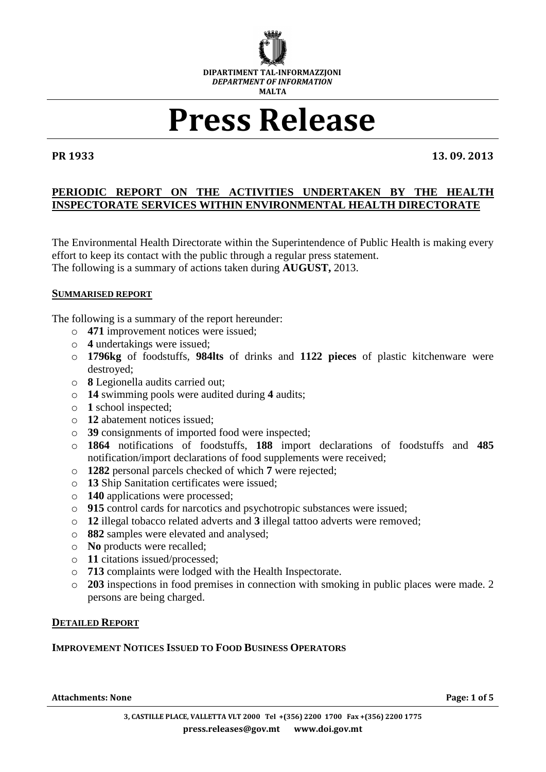

# **Press Release**

**PR 1933 13. 09. 2013**

# **PERIODIC REPORT ON THE ACTIVITIES UNDERTAKEN BY THE HEALTH INSPECTORATE SERVICES WITHIN ENVIRONMENTAL HEALTH DIRECTORATE**

The Environmental Health Directorate within the Superintendence of Public Health is making every effort to keep its contact with the public through a regular press statement. The following is a summary of actions taken during **AUGUST,** 2013.

### **SUMMARISED REPORT**

The following is a summary of the report hereunder:

- o **471** improvement notices were issued;
- o **4** undertakings were issued;
- o **1796kg** of foodstuffs, **984lts** of drinks and **1122 pieces** of plastic kitchenware were destroyed;
- o **8** Legionella audits carried out;
- o **14** swimming pools were audited during **4** audits;
- o **1** school inspected;
- o **12** abatement notices issued;
- o **39** consignments of imported food were inspected;
- o **1864** notifications of foodstuffs, **188** import declarations of foodstuffs and **485** notification/import declarations of food supplements were received;
- o **1282** personal parcels checked of which **7** were rejected;
- o **13** Ship Sanitation certificates were issued;
- o **140** applications were processed;
- o **915** control cards for narcotics and psychotropic substances were issued;
- o **12** illegal tobacco related adverts and **3** illegal tattoo adverts were removed;
- o **882** samples were elevated and analysed;
- o **No** products were recalled;
- o **11** citations issued/processed;
- o **713** complaints were lodged with the Health Inspectorate.
- o **203** inspections in food premises in connection with smoking in public places were made. 2 persons are being charged.

### **DETAILED REPORT**

### **IMPROVEMENT NOTICES ISSUED TO FOOD BUSINESS OPERATORS**

**Attachments: None Page: 1 of 5**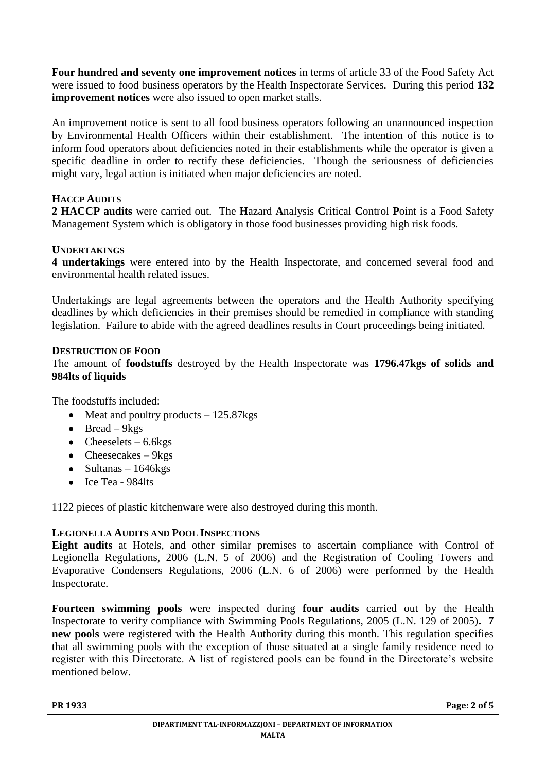**Four hundred and seventy one improvement notices** in terms of article 33 of the Food Safety Act were issued to food business operators by the Health Inspectorate Services. During this period **132 improvement notices** were also issued to open market stalls.

An improvement notice is sent to all food business operators following an unannounced inspection by Environmental Health Officers within their establishment. The intention of this notice is to inform food operators about deficiencies noted in their establishments while the operator is given a specific deadline in order to rectify these deficiencies. Though the seriousness of deficiencies might vary, legal action is initiated when major deficiencies are noted.

# **HACCP AUDITS**

**2 HACCP audits** were carried out. The **H**azard **A**nalysis **C**ritical **C**ontrol **P**oint is a Food Safety Management System which is obligatory in those food businesses providing high risk foods.

# **UNDERTAKINGS**

**4 undertakings** were entered into by the Health Inspectorate, and concerned several food and environmental health related issues.

Undertakings are legal agreements between the operators and the Health Authority specifying deadlines by which deficiencies in their premises should be remedied in compliance with standing legislation. Failure to abide with the agreed deadlines results in Court proceedings being initiated.

# **DESTRUCTION OF FOOD**

The amount of **foodstuffs** destroyed by the Health Inspectorate was **1796.47kgs of solids and 984lts of liquids**

The foodstuffs included:

- $\bullet$  Meat and poultry products  $-125.87$ kgs
- $\bullet$  Bread 9kgs
- $\bullet$  Cheeselets 6.6 kgs
- Cheesecakes  $-9kgs$
- $\bullet$  Sultanas 1646kgs
- Ice Tea 984lts

1122 pieces of plastic kitchenware were also destroyed during this month.

### **LEGIONELLA AUDITS AND POOL INSPECTIONS**

**Eight audits** at Hotels, and other similar premises to ascertain compliance with Control of Legionella Regulations, 2006 (L.N. 5 of 2006) and the Registration of Cooling Towers and Evaporative Condensers Regulations, 2006 (L.N. 6 of 2006) were performed by the Health Inspectorate.

**Fourteen swimming pools** were inspected during **four audits** carried out by the Health Inspectorate to verify compliance with Swimming Pools Regulations, 2005 (L.N. 129 of 2005)**. 7 new pools** were registered with the Health Authority during this month. This regulation specifies that all swimming pools with the exception of those situated at a single family residence need to register with this Directorate. A list of registered pools can be found in the Directorate's website mentioned below.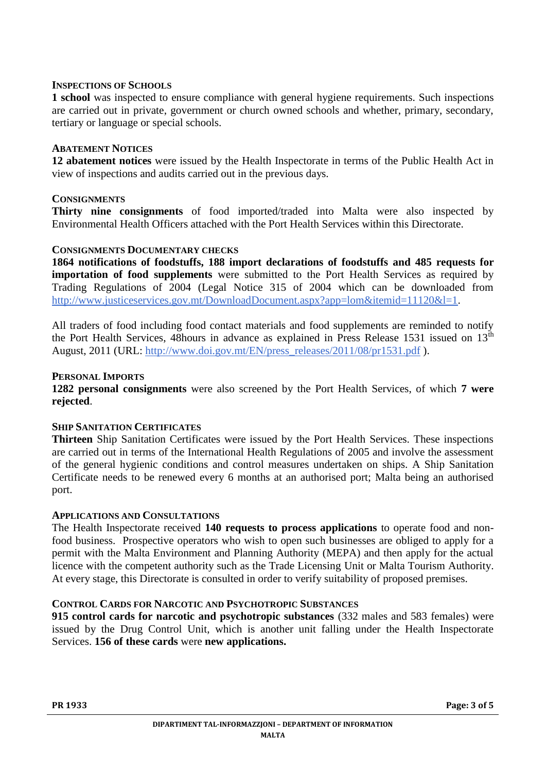#### **INSPECTIONS OF SCHOOLS**

**1 school** was inspected to ensure compliance with general hygiene requirements. Such inspections are carried out in private, government or church owned schools and whether, primary, secondary, tertiary or language or special schools.

#### **ABATEMENT NOTICES**

**12 abatement notices** were issued by the Health Inspectorate in terms of the Public Health Act in view of inspections and audits carried out in the previous days.

#### **CONSIGNMENTS**

**Thirty nine consignments** of food imported/traded into Malta were also inspected by Environmental Health Officers attached with the Port Health Services within this Directorate.

#### **CONSIGNMENTS DOCUMENTARY CHECKS**

**1864 notifications of foodstuffs, 188 import declarations of foodstuffs and 485 requests for importation of food supplements** were submitted to the Port Health Services as required by Trading Regulations of 2004 (Legal Notice 315 of 2004 which can be downloaded from [http://www.justiceservices.gov.mt/DownloadDocument.aspx?app=lom&itemid=11120&l=1.](http://www.justiceservices.gov.mt/DownloadDocument.aspx?app=lom&itemid=11120&l=1)

All traders of food including food contact materials and food supplements are reminded to notify the Port Health Services, 48hours in advance as explained in Press Release 1531 issued on  $13<sup>th</sup>$ August, 2011 (URL: [http://www.doi.gov.mt/EN/press\\_releases/2011/08/pr1531.pdf](http://www.doi.gov.mt/EN/press_releases/2011/08/pr1531.pdf) ).

#### **PERSONAL IMPORTS**

**1282 personal consignments** were also screened by the Port Health Services, of which **7 were rejected**.

#### **SHIP SANITATION CERTIFICATES**

**Thirteen** Ship Sanitation Certificates were issued by the Port Health Services. These inspections are carried out in terms of the International Health Regulations of 2005 and involve the assessment of the general hygienic conditions and control measures undertaken on ships. A Ship Sanitation Certificate needs to be renewed every 6 months at an authorised port; Malta being an authorised port.

#### **APPLICATIONS AND CONSULTATIONS**

The Health Inspectorate received **140 requests to process applications** to operate food and nonfood business. Prospective operators who wish to open such businesses are obliged to apply for a permit with the Malta Environment and Planning Authority (MEPA) and then apply for the actual licence with the competent authority such as the Trade Licensing Unit or Malta Tourism Authority. At every stage, this Directorate is consulted in order to verify suitability of proposed premises.

### **CONTROL CARDS FOR NARCOTIC AND PSYCHOTROPIC SUBSTANCES**

**915 control cards for narcotic and psychotropic substances** (332 males and 583 females) were issued by the Drug Control Unit, which is another unit falling under the Health Inspectorate Services. **156 of these cards** were **new applications.**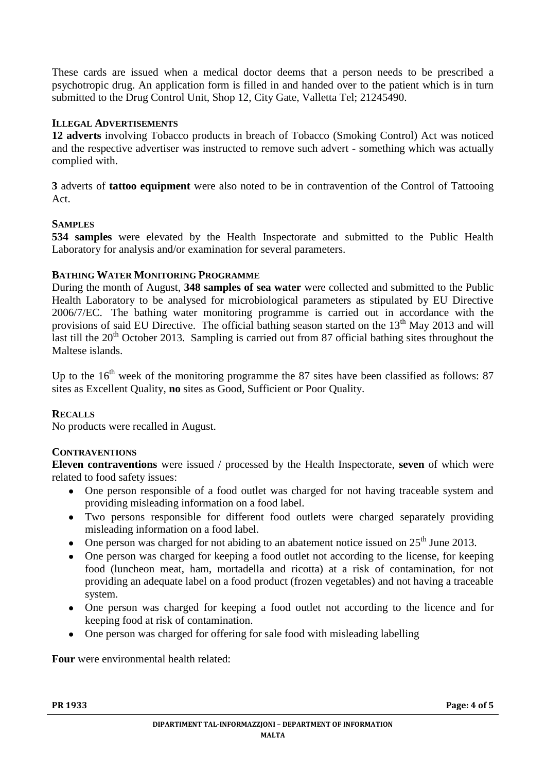These cards are issued when a medical doctor deems that a person needs to be prescribed a psychotropic drug. An application form is filled in and handed over to the patient which is in turn submitted to the Drug Control Unit, Shop 12, City Gate, Valletta Tel; 21245490.

# **ILLEGAL ADVERTISEMENTS**

**12 adverts** involving Tobacco products in breach of Tobacco (Smoking Control) Act was noticed and the respective advertiser was instructed to remove such advert - something which was actually complied with.

**3** adverts of **tattoo equipment** were also noted to be in contravention of the Control of Tattooing Act.

### **SAMPLES**

**534 samples** were elevated by the Health Inspectorate and submitted to the Public Health Laboratory for analysis and/or examination for several parameters.

# **BATHING WATER MONITORING PROGRAMME**

During the month of August, **348 samples of sea water** were collected and submitted to the Public Health Laboratory to be analysed for microbiological parameters as stipulated by EU Directive 2006/7/EC. The bathing water monitoring programme is carried out in accordance with the provisions of said EU Directive. The official bathing season started on the 13<sup>th</sup> May 2013 and will last till the  $20<sup>th</sup>$  October 2013. Sampling is carried out from 87 official bathing sites throughout the Maltese islands.

Up to the  $16<sup>th</sup>$  week of the monitoring programme the 87 sites have been classified as follows: 87 sites as Excellent Quality, **no** sites as Good, Sufficient or Poor Quality.

### **RECALLS**

No products were recalled in August.

# **CONTRAVENTIONS**

**Eleven contraventions** were issued / processed by the Health Inspectorate, **seven** of which were related to food safety issues:

- One person responsible of a food outlet was charged for not having traceable system and  $\bullet$ providing misleading information on a food label.
- Two persons responsible for different food outlets were charged separately providing  $\bullet$ misleading information on a food label.
- One person was charged for not abiding to an abatement notice issued on  $25<sup>th</sup>$  June 2013.  $\bullet$
- One person was charged for keeping a food outlet not according to the license, for keeping  $\bullet$ food (luncheon meat, ham, mortadella and ricotta) at a risk of contamination, for not providing an adequate label on a food product (frozen vegetables) and not having a traceable system.
- One person was charged for keeping a food outlet not according to the licence and for keeping food at risk of contamination.
- One person was charged for offering for sale food with misleading labelling  $\bullet$

**Four** were environmental health related: